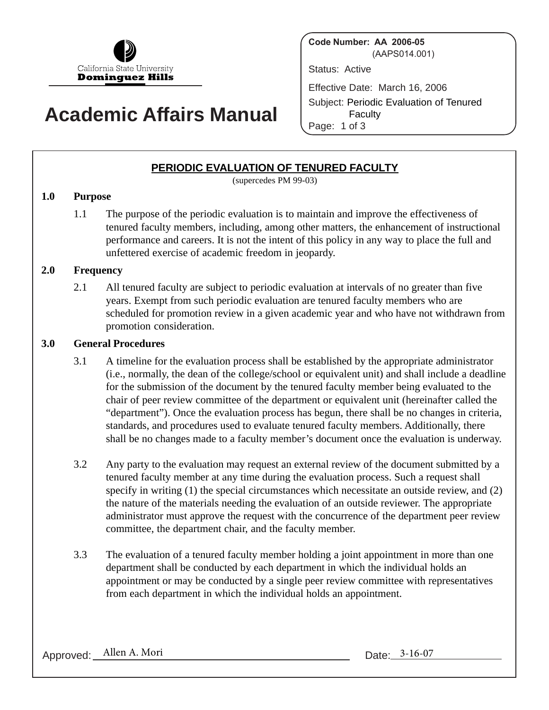

# **Academic Affairs Manual**

**Code Number: AA 2006-05** (AAPS014.001)

Status: Active

Effective Date: March 16, 2006

Subject: Periodic Evaluation of Tenured **Faculty** Page: 1 of 3

## **PERIODIC EVALUATION OF TENURED FACULTY**

(supercedes PM 99-03)

#### **1.0 Purpose**

1.1 The purpose of the periodic evaluation is to maintain and improve the effectiveness of tenured faculty members, including, among other matters, the enhancement of instructional performance and careers. It is not the intent of this policy in any way to place the full and unfettered exercise of academic freedom in jeopardy.

#### **2.0 Frequency**

2.1 All tenured faculty are subject to periodic evaluation at intervals of no greater than five years. Exempt from such periodic evaluation are tenured faculty members who are scheduled for promotion review in a given academic year and who have not withdrawn from promotion consideration.

#### **3.0 General Procedures**

- 3.1 A timeline for the evaluation process shall be established by the appropriate administrator (i.e., normally, the dean of the college/school or equivalent unit) and shall include a deadline for the submission of the document by the tenured faculty member being evaluated to the chair of peer review committee of the department or equivalent unit (hereinafter called the "department"). Once the evaluation process has begun, there shall be no changes in criteria, standards, and procedures used to evaluate tenured faculty members. Additionally, there shall be no changes made to a faculty member's document once the evaluation is underway.
- 3.2 Any party to the evaluation may request an external review of the document submitted by a tenured faculty member at any time during the evaluation process. Such a request shall specify in writing (1) the special circumstances which necessitate an outside review, and (2) the nature of the materials needing the evaluation of an outside reviewer. The appropriate administrator must approve the request with the concurrence of the department peer review committee, the department chair, and the faculty member.
- 3.3 The evaluation of a tenured faculty member holding a joint appointment in more than one department shall be conducted by each department in which the individual holds an appointment or may be conducted by a single peer review committee with representatives from each department in which the individual holds an appointment.

Approved: Allen A. Mori Date: 3-16-07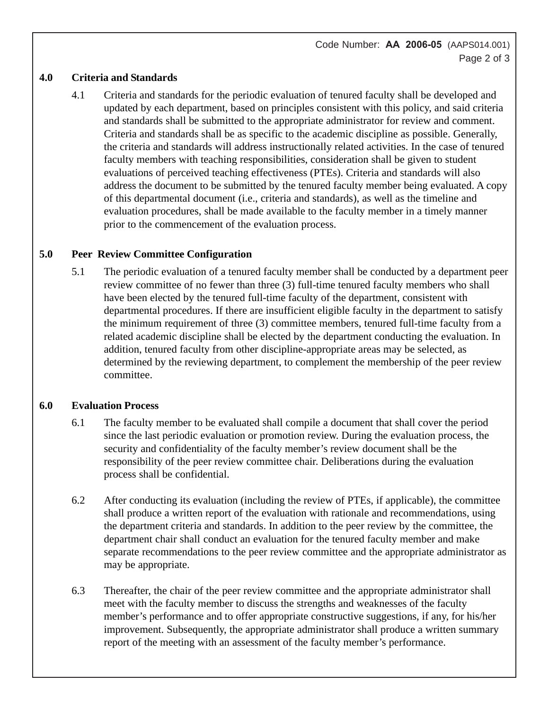#### **4.0 Criteria and Standards**

4.1 Criteria and standards for the periodic evaluation of tenured faculty shall be developed and updated by each department, based on principles consistent with this policy, and said criteria and standards shall be submitted to the appropriate administrator for review and comment. Criteria and standards shall be as specific to the academic discipline as possible. Generally, the criteria and standards will address instructionally related activities. In the case of tenured faculty members with teaching responsibilities, consideration shall be given to student evaluations of perceived teaching effectiveness (PTEs). Criteria and standards will also address the document to be submitted by the tenured faculty member being evaluated. A copy of this departmental document (i.e., criteria and standards), as well as the timeline and evaluation procedures, shall be made available to the faculty member in a timely manner prior to the commencement of the evaluation process.

## **5.0 Peer Review Committee Configuration**

5.1 The periodic evaluation of a tenured faculty member shall be conducted by a department peer review committee of no fewer than three (3) full-time tenured faculty members who shall have been elected by the tenured full-time faculty of the department, consistent with departmental procedures. If there are insufficient eligible faculty in the department to satisfy the minimum requirement of three (3) committee members, tenured full-time faculty from a related academic discipline shall be elected by the department conducting the evaluation. In addition, tenured faculty from other discipline-appropriate areas may be selected, as determined by the reviewing department, to complement the membership of the peer review committee.

#### **6.0 Evaluation Process**

- 6.1 The faculty member to be evaluated shall compile a document that shall cover the period since the last periodic evaluation or promotion review. During the evaluation process, the security and confidentiality of the faculty member's review document shall be the responsibility of the peer review committee chair. Deliberations during the evaluation process shall be confidential.
- 6.2 After conducting its evaluation (including the review of PTEs, if applicable), the committee shall produce a written report of the evaluation with rationale and recommendations, using the department criteria and standards. In addition to the peer review by the committee, the department chair shall conduct an evaluation for the tenured faculty member and make separate recommendations to the peer review committee and the appropriate administrator as may be appropriate.
- 6.3 Thereafter, the chair of the peer review committee and the appropriate administrator shall meet with the faculty member to discuss the strengths and weaknesses of the faculty member's performance and to offer appropriate constructive suggestions, if any, for his/her improvement. Subsequently, the appropriate administrator shall produce a written summary report of the meeting with an assessment of the faculty member's performance.